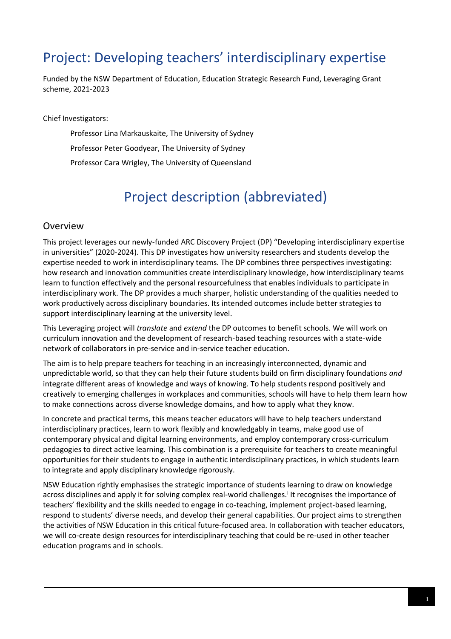# Project: Developing teachers' interdisciplinary expertise

Funded by the NSW Department of Education, Education Strategic Research Fund, Leveraging Grant scheme, 2021-2023

Chief Investigators:

Professor Lina Markauskaite, The University of Sydney

Professor Peter Goodyear, The University of Sydney

Professor Cara Wrigley, The University of Queensland

# Project description (abbreviated)

#### Overview

This project leverages our newly-funded ARC Discovery Project (DP) "Developing interdisciplinary expertise in universities" (2020-2024). This DP investigates how university researchers and students develop the expertise needed to work in interdisciplinary teams. The DP combines three perspectives investigating: how research and innovation communities create interdisciplinary knowledge, how interdisciplinary teams learn to function effectively and the personal resourcefulness that enables individuals to participate in interdisciplinary work. The DP provides a much sharper, holistic understanding of the qualities needed to work productively across disciplinary boundaries. Its intended outcomes include better strategies to support interdisciplinary learning at the university level.

This Leveraging project will *translate* and *extend* the DP outcomes to benefit schools. We will work on curriculum innovation and the development of research-based teaching resources with a state-wide network of collaborators in pre-service and in-service teacher education.

The aim is to help prepare teachers for teaching in an increasingly interconnected, dynamic and unpredictable world, so that they can help their future students build on firm disciplinary foundations *and* integrate different areas of knowledge and ways of knowing. To help students respond positively and creatively to emerging challenges in workplaces and communities, schools will have to help them learn how to make connections across diverse knowledge domains, and how to apply what they know.

In concrete and practical terms, this means teacher educators will have to help teachers understand interdisciplinary practices, learn to work flexibly and knowledgably in teams, make good use of contemporary physical and digital learning environments, and employ contemporary cross-curriculum pedagogies to direct active learning. This combination is a prerequisite for teachers to create meaningful opportunities for their students to engage in authentic interdisciplinary practices, in which students learn to integrate and apply disciplinary knowledge rigorously.

NSW Education rightly emphasises the strategic importance of students learning to draw on knowledge across disciplines and apply it for solving complex real-world challenges.<sup>i</sup> It recognises the importance of teachers' flexibility and the skills needed to engage in co-teaching, implement project-based learning, respond to students' diverse needs, and develop their general capabilities. Our project aims to strengthen the activities of NSW Education in this critical future-focused area. In collaboration with teacher educators, we will co-create design resources for interdisciplinary teaching that could be re-used in other teacher education programs and in schools.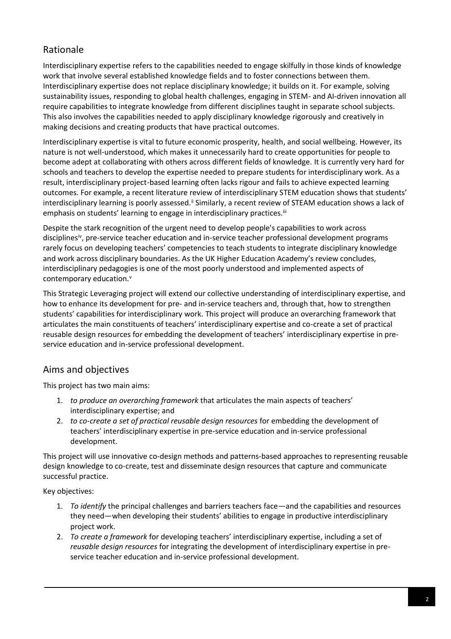## Rationale

Interdisciplinary expertise refers to the capabilities needed to engage skilfully in those kinds of knowledge work that involve several established knowledge fields and to foster connections between them. Interdisciplinary expertise does not replace disciplinary knowledge; it builds on it. For example, solving sustainability issues, responding to global health challenges, engaging in STEM- and AI-driven innovation all require capabilities to integrate knowledge from different disciplines taught in separate school subjects. This also involves the capabilities needed to apply disciplinary knowledge rigorously and creatively in making decisions and creating products that have practical outcomes.

Interdisciplinary expertise is vital to future economic prosperity, health, and social wellbeing. However, its nature is not well-understood, which makes it unnecessarily hard to create opportunities for people to become adept at collaborating with others across different fields of knowledge. It is currently very hard for schools and teachers to develop the expertise needed to prepare students for interdisciplinary work. As a result, interdisciplinary project-based learning often lacks rigour and fails to achieve expected learning outcomes. For example, a recent literature review of interdisciplinary STEM education shows that students' interdisciplinary learning is poorly assessed.<sup>ii</sup> Similarly, a recent review of STEAM education shows a lack of emphasis on students' learning to engage in interdisciplinary practices.<sup>iii</sup>

Despite the stark recognition of the urgent need to develop people's capabilities to work across disciplines<sup>iv</sup>, pre-service teacher education and in-service teacher professional development programs rarely focus on developing teachers' competencies to teach students to integrate disciplinary knowledge and work across disciplinary boundaries. As the UK Higher Education Academy's review concludes, interdisciplinary pedagogies is one of the most poorly understood and implemented aspects of contemporary education.<sup>v</sup>

This Strategic Leveraging project will extend our collective understanding of interdisciplinary expertise, and how to enhance its development for pre- and in-service teachers and, through that, how to strengthen students' capabilities for interdisciplinary work. This project will produce an overarching framework that articulates the main constituents of teachers' interdisciplinary expertise and co-create a set of practical reusable design resources for embedding the development of teachers' interdisciplinary expertise in preservice education and in-service professional development.

## Aims and objectives

This project has two main aims:

- 1. *to produce an overarching framework* that articulates the main aspects of teachers' interdisciplinary expertise; and
- 2. *to co-create a set of practical reusable design resources* for embedding the development of teachers' interdisciplinary expertise in pre-service education and in-service professional development.

This project will use innovative co-design methods and patterns-based approaches to representing reusable design knowledge to co-create, test and disseminate design resources that capture and communicate successful practice.

Key objectives:

- 1. *To identify* the principal challenges and barriers teachers face—and the capabilities and resources they need—when developing their students' abilities to engage in productive interdisciplinary project work.
- 2. *To create a framework* for developing teachers' interdisciplinary expertise, including a set of *reusable design resources* for integrating the development of interdisciplinary expertise in preservice teacher education and in-service professional development.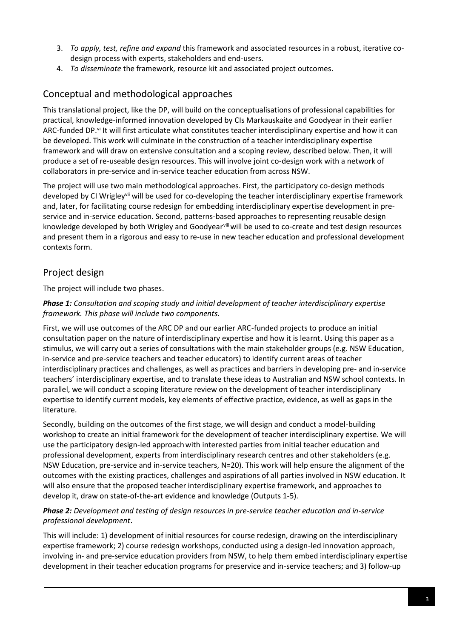- 3. *To apply, test, refine and expand* this framework and associated resources in a robust, iterative codesign process with experts, stakeholders and end-users.
- 4. *To disseminate* the framework, resource kit and associated project outcomes.

## Conceptual and methodological approaches

This translational project, like the DP, will build on the conceptualisations of professional capabilities for practical, knowledge-informed innovation developed by CIs Markauskaite and Goodyear in their earlier ARC-funded DP.<sup>vi</sup> It will first articulate what constitutes teacher interdisciplinary expertise and how it can be developed. This work will culminate in the construction of a teacher interdisciplinary expertise framework and will draw on extensive consultation and a scoping review, described below. Then, it will produce a set of re-useable design resources. This will involve joint co-design work with a network of collaborators in pre-service and in-service teacher education from across NSW.

The project will use two main methodological approaches. First, the participatory co-design methods developed by CI Wrigley<sup>vii</sup> will be used for co-developing the teacher interdisciplinary expertise framework and, later, for facilitating course redesign for embedding interdisciplinary expertise development in preservice and in-service education. Second, patterns-based approaches to representing reusable design knowledge developed by both Wrigley and Goodyearviii will be used to co-create and test design resources and present them in a rigorous and easy to re-use in new teacher education and professional development contexts form.

## Project design

The project will include two phases.

#### *Phase 1: Consultation and scoping study and initial development of teacher interdisciplinary expertise framework. This phase will include two components.*

First, we will use outcomes of the ARC DP and our earlier ARC-funded projects to produce an initial consultation paper on the nature of interdisciplinary expertise and how it is learnt. Using this paper as a stimulus, we will carry out a series of consultations with the main stakeholder groups (e.g. NSW Education, in-service and pre-service teachers and teacher educators) to identify current areas of teacher interdisciplinary practices and challenges, as well as practices and barriers in developing pre- and in-service teachers' interdisciplinary expertise, and to translate these ideas to Australian and NSW school contexts. In parallel, we will conduct a scoping literature review on the development of teacher interdisciplinary expertise to identify current models, key elements of effective practice, evidence, as well as gaps in the literature.

Secondly, building on the outcomes of the first stage, we will design and conduct a model-building workshop to create an initial framework for the development of teacher interdisciplinary expertise. We will use the participatory design-led approachwith interested parties from initial teacher education and professional development, experts from interdisciplinary research centres and other stakeholders (e.g. NSW Education, pre-service and in-service teachers, N=20). This work will help ensure the alignment of the outcomes with the existing practices, challenges and aspirations of all parties involved in NSW education. It will also ensure that the proposed teacher interdisciplinary expertise framework, and approaches to develop it, draw on state-of-the-art evidence and knowledge (Outputs 1-5).

#### *Phase 2: Development and testing of design resources in pre-service teacher education and in-service professional development*.

This will include: 1) development of initial resources for course redesign, drawing on the interdisciplinary expertise framework; 2) course redesign workshops, conducted using a design-led innovation approach, involving in- and pre-service education providers from NSW, to help them embed interdisciplinary expertise development in their teacher education programs for preservice and in-service teachers; and 3) follow-up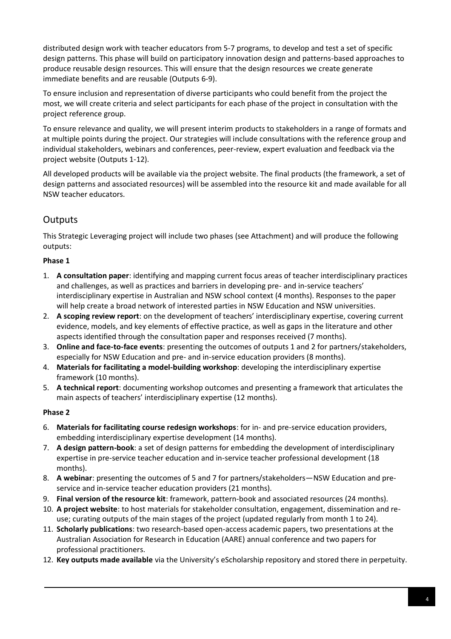distributed design work with teacher educators from 5-7 programs, to develop and test a set of specific design patterns. This phase will build on participatory innovation design and patterns-based approaches to produce reusable design resources. This will ensure that the design resources we create generate immediate benefits and are reusable (Outputs 6-9).

To ensure inclusion and representation of diverse participants who could benefit from the project the most, we will create criteria and select participants for each phase of the project in consultation with the project reference group.

To ensure relevance and quality, we will present interim products to stakeholders in a range of formats and at multiple points during the project. Our strategies will include consultations with the reference group and individual stakeholders, webinars and conferences, peer-review, expert evaluation and feedback via the project website (Outputs 1-12).

All developed products will be available via the project website. The final products (the framework, a set of design patterns and associated resources) will be assembled into the resource kit and made available for all NSW teacher educators.

## **Outputs**

This Strategic Leveraging project will include two phases (see Attachment) and will produce the following outputs:

### **Phase 1**

- 1. **A consultation paper**: identifying and mapping current focus areas of teacher interdisciplinary practices and challenges, as well as practices and barriers in developing pre- and in-service teachers' interdisciplinary expertise in Australian and NSW school context (4 months). Responses to the paper will help create a broad network of interested parties in NSW Education and NSW universities.
- 2. **A scoping review report**: on the development of teachers' interdisciplinary expertise, covering current evidence, models, and key elements of effective practice, as well as gaps in the literature and other aspects identified through the consultation paper and responses received (7 months).
- 3. **Online and face-to-face events**: presenting the outcomes of outputs 1 and 2 for partners/stakeholders, especially for NSW Education and pre- and in-service education providers (8 months).
- 4. **Materials for facilitating a model-building workshop**: developing the interdisciplinary expertise framework (10 months).
- 5. **A technical report**: documenting workshop outcomes and presenting a framework that articulates the main aspects of teachers' interdisciplinary expertise (12 months).

#### **Phase 2**

- 6. **Materials for facilitating course redesign workshops**: for in- and pre-service education providers, embedding interdisciplinary expertise development (14 months).
- 7. **A design pattern-book**: a set of design patterns for embedding the development of interdisciplinary expertise in pre-service teacher education and in-service teacher professional development (18 months).
- 8. **A webinar**: presenting the outcomes of 5 and 7 for partners/stakeholders—NSW Education and preservice and in-service teacher education providers (21 months).
- 9. **Final version of the resource kit**: framework, pattern-book and associated resources (24 months).
- 10. **A project website**: to host materials for stakeholder consultation, engagement, dissemination and reuse; curating outputs of the main stages of the project (updated regularly from month 1 to 24).
- 11. **Scholarly publications**: two research-based open-access academic papers, two presentations at the Australian Association for Research in Education (AARE) annual conference and two papers for professional practitioners.
- 12. **Key outputs made available** via the University's eScholarship repository and stored there in perpetuity.